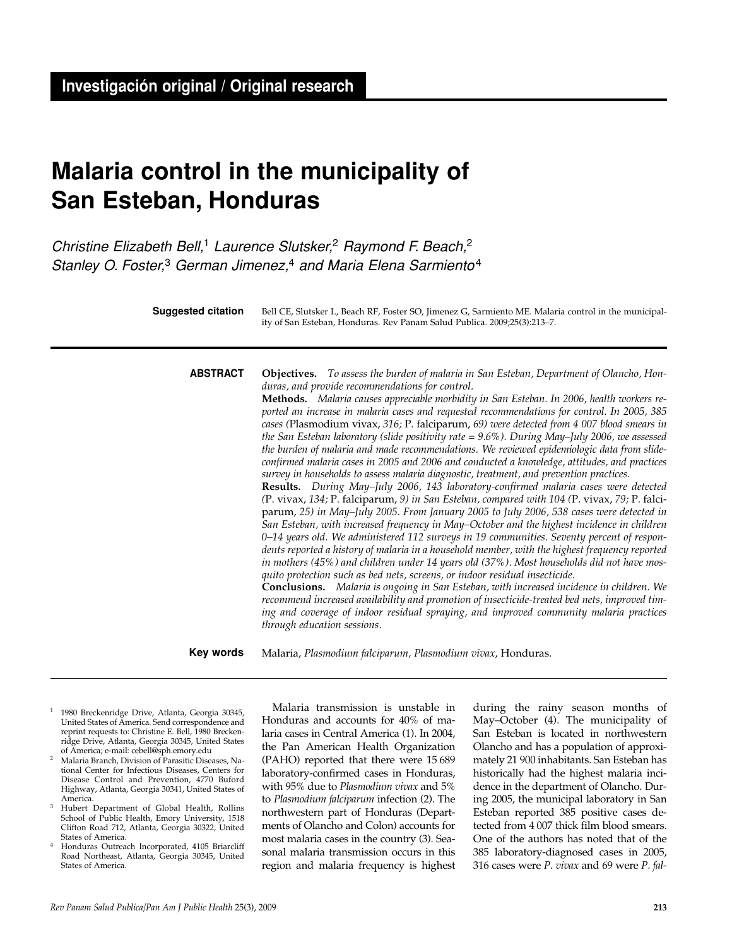# **Malaria control in the municipality of San Esteban, Honduras**

Christine Elizabeth Bell,<sup>1</sup> Laurence Slutsker,<sup>2</sup> Raymond F. Beach,<sup>2</sup> Stanley O. Foster,<sup>3</sup> German Jimenez,<sup>4</sup> and Maria Elena Sarmiento<sup>4</sup>

**Objectives.** *To assess the burden of malaria in San Esteban, Department of Olancho, Honduras, and provide recommendations for control.*  **Methods.** *Malaria causes appreciable morbidity in San Esteban. In 2006, health workers reported an increase in malaria cases and requested recommendations for control. In 2005, 385 cases (*Plasmodium vivax, *316;* P. falciparum, *69) were detected from 4 007 blood smears in the San Esteban laboratory (slide positivity rate = 9.6%). During May–July 2006, we assessed the burden of malaria and made recommendations. We reviewed epidemiologic data from slideconfirmed malaria cases in 2005 and 2006 and conducted a knowledge, attitudes, and practices survey in households to assess malaria diagnostic, treatment, and prevention practices.* **Results.** *During May–July 2006, 143 laboratory-confirmed malaria cases were detected (*P. vivax, *134;* P. falciparum, *9) in San Esteban, compared with 104 (*P. vivax, *79;* P. falciparum, *25) in May–July 2005. From January 2005 to July 2006, 538 cases were detected in San Esteban, with increased frequency in May–October and the highest incidence in children 0–14 years old. We administered 112 surveys in 19 communities. Seventy percent of respondents reported a history of malaria in a household member, with the highest frequency reported in mothers (45%) and children under 14 years old (37%). Most households did not have mosquito protection such as bed nets, screens, or indoor residual insecticide.*  **Conclusions.** *Malaria is ongoing in San Esteban, with increased incidence in children. We recommend increased availability and promotion of insecticide-treated bed nets, improved timing and coverage of indoor residual spraying, and improved community malaria practices* **ABSTRACT** Bell CE, Slutsker L, Beach RF, Foster SO, Jimenez G, Sarmiento ME. Malaria control in the municipality of San Esteban, Honduras. Rev Panam Salud Publica. 2009;25(3):213–7. **Suggested citation**

> Malaria, *Plasmodium falciparum, Plasmodium vivax*, Honduras. **Key words**

*through education sessions.*

- <sup>1</sup> 1980 Breckenridge Drive, Atlanta, Georgia 30345, United States of America. Send correspondence and reprint requests to: Christine E. Bell, 1980 Breckenridge Drive, Atlanta, Georgia 30345, United States of America; e-mail: cebell@sph.emory.edu
- <sup>2</sup> Malaria Branch, Division of Parasitic Diseases, National Center for Infectious Diseases, Centers for Disease Control and Prevention, 4770 Buford Highway, Atlanta, Georgia 30341, United States of America.
- <sup>3</sup> Hubert Department of Global Health, Rollins School of Public Health, Emory University, 1518 Clifton Road 712, Atlanta, Georgia 30322, United States of America.
- <sup>4</sup> Honduras Outreach Incorporated, 4105 Briarcliff Road Northeast, Atlanta, Georgia 30345, United States of America.

Malaria transmission is unstable in Honduras and accounts for 40% of malaria cases in Central America (1). In 2004, the Pan American Health Organization (PAHO) reported that there were 15 689 laboratory-confirmed cases in Honduras, with 95% due to *Plasmodium vivax* and 5% to *Plasmodium falciparum* infection (2). The northwestern part of Honduras (Departments of Olancho and Colon) accounts for most malaria cases in the country (3). Seasonal malaria transmission occurs in this region and malaria frequency is highest

during the rainy season months of May–October (4). The municipality of San Esteban is located in northwestern Olancho and has a population of approximately 21 900 inhabitants. San Esteban has historically had the highest malaria incidence in the department of Olancho. During 2005, the municipal laboratory in San Esteban reported 385 positive cases detected from 4 007 thick film blood smears. One of the authors has noted that of the 385 laboratory-diagnosed cases in 2005, 316 cases were *P. vivax* and 69 were *P. fal-*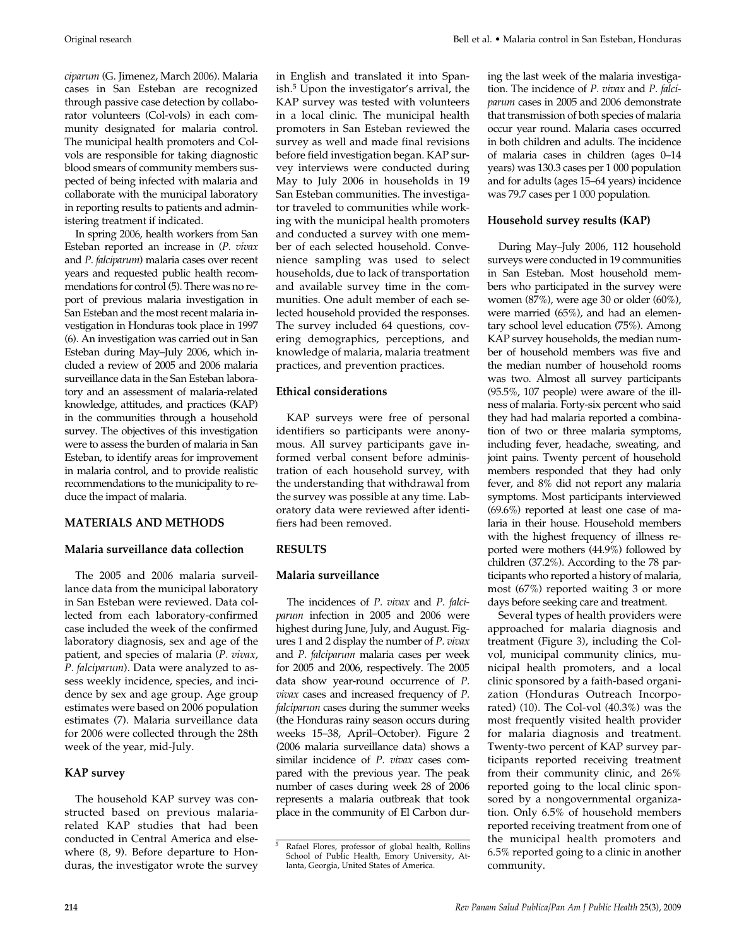*ciparum* (G. Jimenez, March 2006). Malaria cases in San Esteban are recognized through passive case detection by collaborator volunteers (Col-vols) in each community designated for malaria control. The municipal health promoters and Colvols are responsible for taking diagnostic blood smears of community members suspected of being infected with malaria and collaborate with the municipal laboratory in reporting results to patients and administering treatment if indicated.

In spring 2006, health workers from San Esteban reported an increase in (*P. vivax* and *P. falciparum*) malaria cases over recent years and requested public health recommendations for control (5). There was no report of previous malaria investigation in San Esteban and the most recent malaria investigation in Honduras took place in 1997 (6). An investigation was carried out in San Esteban during May–July 2006, which included a review of 2005 and 2006 malaria surveillance data in the San Esteban laboratory and an assessment of malaria-related knowledge, attitudes, and practices (KAP) in the communities through a household survey. The objectives of this investigation were to assess the burden of malaria in San Esteban, to identify areas for improvement in malaria control, and to provide realistic recommendations to the municipality to reduce the impact of malaria.

## **MATERIALS AND METHODS**

## **Malaria surveillance data collection**

The 2005 and 2006 malaria surveillance data from the municipal laboratory in San Esteban were reviewed. Data collected from each laboratory-confirmed case included the week of the confirmed laboratory diagnosis, sex and age of the patient, and species of malaria (*P. vivax*, *P. falciparum*). Data were analyzed to assess weekly incidence, species, and incidence by sex and age group. Age group estimates were based on 2006 population estimates (7). Malaria surveillance data for 2006 were collected through the 28th week of the year, mid-July.

## **KAP survey**

The household KAP survey was constructed based on previous malariarelated KAP studies that had been conducted in Central America and elsewhere (8, 9). Before departure to Honduras, the investigator wrote the survey in English and translated it into Spanish.5 Upon the investigator's arrival, the KAP survey was tested with volunteers in a local clinic. The municipal health promoters in San Esteban reviewed the survey as well and made final revisions before field investigation began. KAP survey interviews were conducted during May to July 2006 in households in 19 San Esteban communities. The investigator traveled to communities while working with the municipal health promoters and conducted a survey with one member of each selected household. Convenience sampling was used to select households, due to lack of transportation and available survey time in the communities. One adult member of each selected household provided the responses. The survey included 64 questions, covering demographics, perceptions, and knowledge of malaria, malaria treatment practices, and prevention practices.

## **Ethical considerations**

KAP surveys were free of personal identifiers so participants were anonymous. All survey participants gave informed verbal consent before administration of each household survey, with the understanding that withdrawal from the survey was possible at any time. Laboratory data were reviewed after identifiers had been removed.

## **RESULTS**

## **Malaria surveillance**

The incidences of *P. vivax* and *P. falciparum* infection in 2005 and 2006 were highest during June, July, and August. Figures 1 and 2 display the number of *P. vivax* and *P. falciparum* malaria cases per week for 2005 and 2006, respectively. The 2005 data show year-round occurrence of *P. vivax* cases and increased frequency of *P. falciparum* cases during the summer weeks (the Honduras rainy season occurs during weeks 15–38, April–October). Figure 2 (2006 malaria surveillance data) shows a similar incidence of *P. vivax* cases compared with the previous year. The peak number of cases during week 28 of 2006 represents a malaria outbreak that took place in the community of El Carbon during the last week of the malaria investigation. The incidence of *P. vivax* and *P. falciparum* cases in 2005 and 2006 demonstrate that transmission of both species of malaria occur year round. Malaria cases occurred in both children and adults. The incidence of malaria cases in children (ages 0–14 years) was 130.3 cases per 1 000 population and for adults (ages 15–64 years) incidence was 79.7 cases per 1 000 population.

## **Household survey results (KAP)**

During May–July 2006, 112 household surveys were conducted in 19 communities in San Esteban. Most household members who participated in the survey were women (87%), were age 30 or older (60%), were married (65%), and had an elementary school level education (75%). Among KAP survey households, the median number of household members was five and the median number of household rooms was two. Almost all survey participants (95.5%, 107 people) were aware of the illness of malaria. Forty-six percent who said they had had malaria reported a combination of two or three malaria symptoms, including fever, headache, sweating, and joint pains. Twenty percent of household members responded that they had only fever, and 8% did not report any malaria symptoms. Most participants interviewed (69.6%) reported at least one case of malaria in their house. Household members with the highest frequency of illness reported were mothers (44.9%) followed by children (37.2%). According to the 78 participants who reported a history of malaria, most (67%) reported waiting 3 or more days before seeking care and treatment.

Several types of health providers were approached for malaria diagnosis and treatment (Figure 3), including the Colvol, municipal community clinics, municipal health promoters, and a local clinic sponsored by a faith-based organization (Honduras Outreach Incorporated) (10). The Col-vol (40.3%) was the most frequently visited health provider for malaria diagnosis and treatment. Twenty-two percent of KAP survey participants reported receiving treatment from their community clinic, and 26% reported going to the local clinic sponsored by a nongovernmental organization. Only 6.5% of household members reported receiving treatment from one of the municipal health promoters and 6.5% reported going to a clinic in another community.

<sup>5</sup> Rafael Flores, professor of global health, Rollins School of Public Health, Emory University, Atlanta, Georgia, United States of America.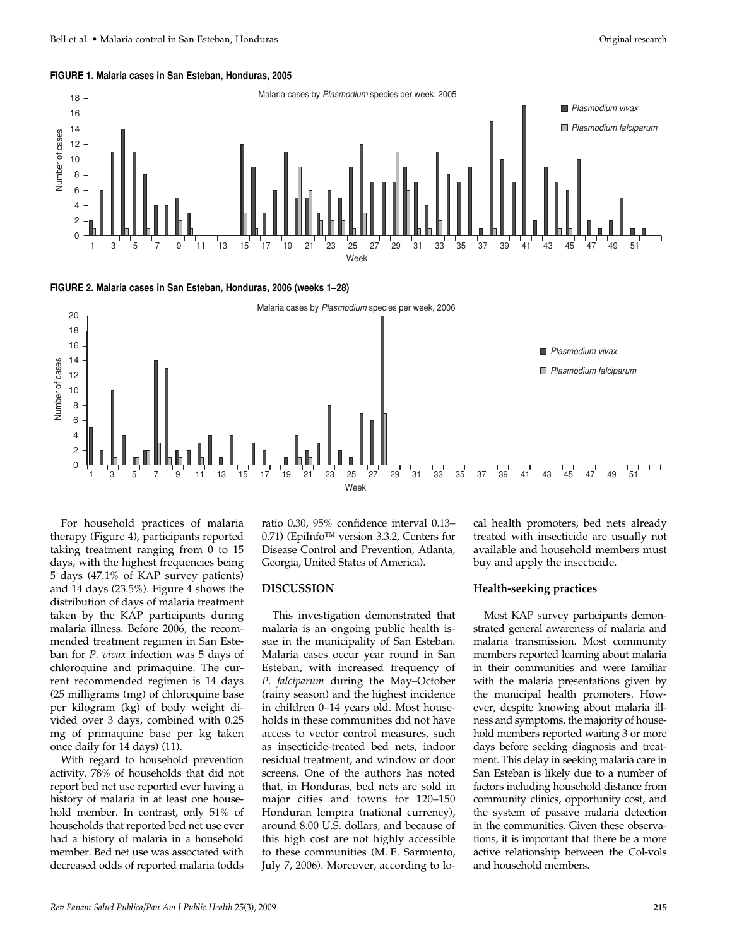#### **FIGURE 1. Malaria cases in San Esteban, Honduras, 2005**



**FIGURE 2. Malaria cases in San Esteban, Honduras, 2006 (weeks 1–28)**



For household practices of malaria therapy (Figure 4), participants reported taking treatment ranging from 0 to 15 days, with the highest frequencies being 5 days (47.1% of KAP survey patients) and 14 days (23.5%). Figure 4 shows the distribution of days of malaria treatment taken by the KAP participants during malaria illness. Before 2006, the recommended treatment regimen in San Esteban for *P. vivax* infection was 5 days of chloroquine and primaquine. The current recommended regimen is 14 days (25 milligrams (mg) of chloroquine base per kilogram (kg) of body weight divided over 3 days, combined with 0.25 mg of primaquine base per kg taken once daily for 14 days) (11).

With regard to household prevention activity, 78% of households that did not report bed net use reported ever having a history of malaria in at least one household member. In contrast, only 51% of households that reported bed net use ever had a history of malaria in a household member. Bed net use was associated with decreased odds of reported malaria (odds

ratio 0.30, 95% confidence interval 0.13– 0.71) (EpiInfo™ version 3.3.2, Centers for Disease Control and Prevention, Atlanta, Georgia, United States of America).

## **DISCUSSION**

This investigation demonstrated that malaria is an ongoing public health issue in the municipality of San Esteban. Malaria cases occur year round in San Esteban, with increased frequency of *P. falciparum* during the May–October (rainy season) and the highest incidence in children 0–14 years old. Most households in these communities did not have access to vector control measures, such as insecticide-treated bed nets, indoor residual treatment, and window or door screens. One of the authors has noted that, in Honduras, bed nets are sold in major cities and towns for 120–150 Honduran lempira (national currency), around 8.00 U.S. dollars, and because of this high cost are not highly accessible to these communities (M. E. Sarmiento, July 7, 2006). Moreover, according to local health promoters, bed nets already treated with insecticide are usually not available and household members must buy and apply the insecticide.

#### **Health-seeking practices**

Most KAP survey participants demonstrated general awareness of malaria and malaria transmission. Most community members reported learning about malaria in their communities and were familiar with the malaria presentations given by the municipal health promoters. However, despite knowing about malaria illness and symptoms, the majority of household members reported waiting 3 or more days before seeking diagnosis and treatment. This delay in seeking malaria care in San Esteban is likely due to a number of factors including household distance from community clinics, opportunity cost, and the system of passive malaria detection in the communities. Given these observations, it is important that there be a more active relationship between the Col-vols and household members.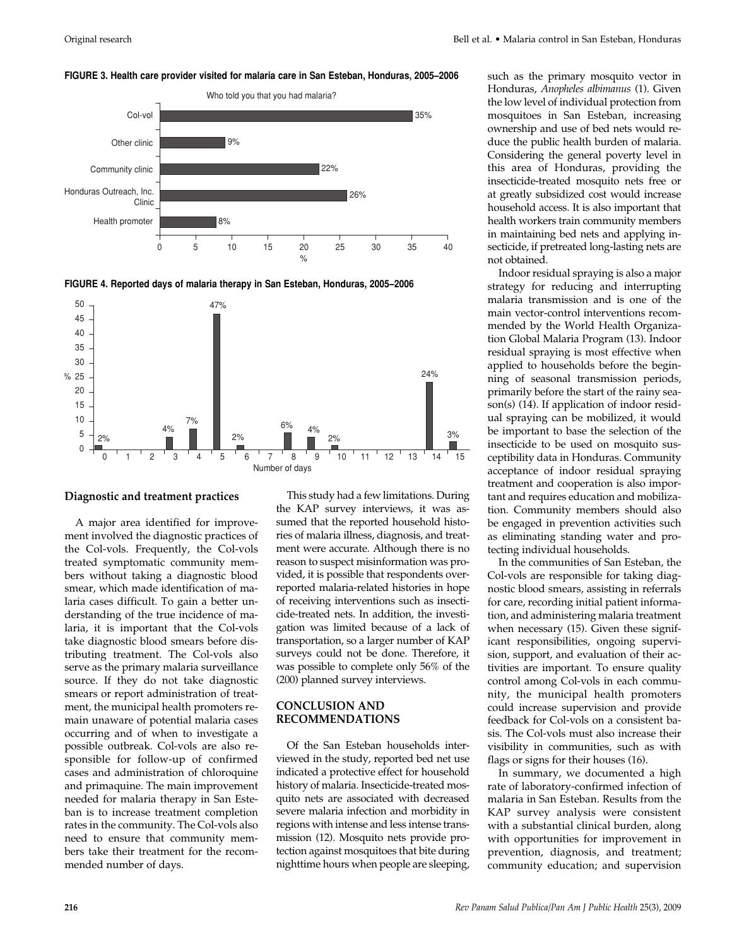#### **FIGURE 3. Health care provider visited for malaria care in San Esteban, Honduras, 2005–2006**



**FIGURE 4. Reported days of malaria therapy in San Esteban, Honduras, 2005–2006**



**Diagnostic and treatment practices**

A major area identified for improvement involved the diagnostic practices of the Col-vols. Frequently, the Col-vols treated symptomatic community members without taking a diagnostic blood smear, which made identification of malaria cases difficult. To gain a better understanding of the true incidence of malaria, it is important that the Col-vols take diagnostic blood smears before distributing treatment. The Col-vols also serve as the primary malaria surveillance source. If they do not take diagnostic smears or report administration of treatment, the municipal health promoters remain unaware of potential malaria cases occurring and of when to investigate a possible outbreak. Col-vols are also responsible for follow-up of confirmed cases and administration of chloroquine and primaquine. The main improvement needed for malaria therapy in San Esteban is to increase treatment completion rates in the community. The Col-vols also need to ensure that community members take their treatment for the recommended number of days.

This study had a few limitations. During the KAP survey interviews, it was assumed that the reported household histories of malaria illness, diagnosis, and treatment were accurate. Although there is no reason to suspect misinformation was provided, it is possible that respondents overreported malaria-related histories in hope of receiving interventions such as insecticide-treated nets. In addition, the investigation was limited because of a lack of transportation, so a larger number of KAP surveys could not be done. Therefore, it was possible to complete only 56% of the (200) planned survey interviews.

## **CONCLUSION AND RECOMMENDATIONS**

Of the San Esteban households interviewed in the study, reported bed net use indicated a protective effect for household history of malaria. Insecticide-treated mosquito nets are associated with decreased severe malaria infection and morbidity in regions with intense and less intense transmission (12). Mosquito nets provide protection against mosquitoes that bite during nighttime hours when people are sleeping,

such as the primary mosquito vector in Honduras, *Anopheles albimanus* (1). Given the low level of individual protection from mosquitoes in San Esteban, increasing ownership and use of bed nets would reduce the public health burden of malaria. Considering the general poverty level in this area of Honduras, providing the insecticide-treated mosquito nets free or at greatly subsidized cost would increase household access. It is also important that health workers train community members in maintaining bed nets and applying insecticide, if pretreated long-lasting nets are not obtained.

Indoor residual spraying is also a major strategy for reducing and interrupting malaria transmission and is one of the main vector-control interventions recommended by the World Health Organization Global Malaria Program (13). Indoor residual spraying is most effective when applied to households before the beginning of seasonal transmission periods, primarily before the start of the rainy season(s) (14). If application of indoor residual spraying can be mobilized, it would be important to base the selection of the insecticide to be used on mosquito susceptibility data in Honduras. Community acceptance of indoor residual spraying treatment and cooperation is also important and requires education and mobilization. Community members should also be engaged in prevention activities such as eliminating standing water and protecting individual households.

In the communities of San Esteban, the Col-vols are responsible for taking diagnostic blood smears, assisting in referrals for care, recording initial patient information, and administering malaria treatment when necessary (15). Given these significant responsibilities, ongoing supervision, support, and evaluation of their activities are important. To ensure quality control among Col-vols in each community, the municipal health promoters could increase supervision and provide feedback for Col-vols on a consistent basis. The Col-vols must also increase their visibility in communities, such as with flags or signs for their houses (16).

In summary, we documented a high rate of laboratory-confirmed infection of malaria in San Esteban. Results from the KAP survey analysis were consistent with a substantial clinical burden, along with opportunities for improvement in prevention, diagnosis, and treatment; community education; and supervision